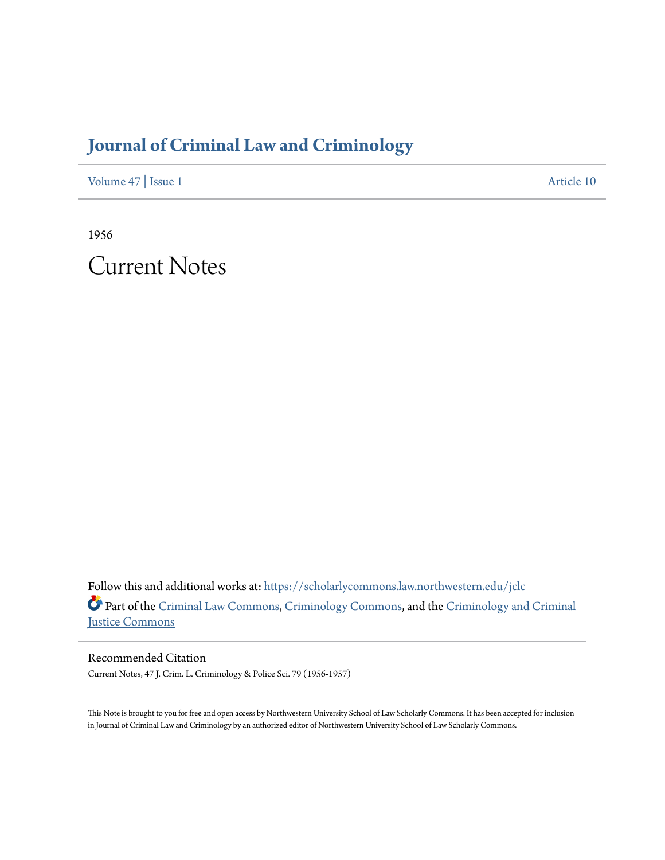# **[Journal of Criminal Law and Criminology](https://scholarlycommons.law.northwestern.edu/jclc?utm_source=scholarlycommons.law.northwestern.edu%2Fjclc%2Fvol47%2Fiss1%2F10&utm_medium=PDF&utm_campaign=PDFCoverPages)**

[Volume 47](https://scholarlycommons.law.northwestern.edu/jclc/vol47?utm_source=scholarlycommons.law.northwestern.edu%2Fjclc%2Fvol47%2Fiss1%2F10&utm_medium=PDF&utm_campaign=PDFCoverPages) | [Issue 1](https://scholarlycommons.law.northwestern.edu/jclc/vol47/iss1?utm_source=scholarlycommons.law.northwestern.edu%2Fjclc%2Fvol47%2Fiss1%2F10&utm_medium=PDF&utm_campaign=PDFCoverPages) [Article 10](https://scholarlycommons.law.northwestern.edu/jclc/vol47/iss1/10?utm_source=scholarlycommons.law.northwestern.edu%2Fjclc%2Fvol47%2Fiss1%2F10&utm_medium=PDF&utm_campaign=PDFCoverPages)

1956

Current Notes

Follow this and additional works at: [https://scholarlycommons.law.northwestern.edu/jclc](https://scholarlycommons.law.northwestern.edu/jclc?utm_source=scholarlycommons.law.northwestern.edu%2Fjclc%2Fvol47%2Fiss1%2F10&utm_medium=PDF&utm_campaign=PDFCoverPages) Part of the [Criminal Law Commons](http://network.bepress.com/hgg/discipline/912?utm_source=scholarlycommons.law.northwestern.edu%2Fjclc%2Fvol47%2Fiss1%2F10&utm_medium=PDF&utm_campaign=PDFCoverPages), [Criminology Commons](http://network.bepress.com/hgg/discipline/417?utm_source=scholarlycommons.law.northwestern.edu%2Fjclc%2Fvol47%2Fiss1%2F10&utm_medium=PDF&utm_campaign=PDFCoverPages), and the [Criminology and Criminal](http://network.bepress.com/hgg/discipline/367?utm_source=scholarlycommons.law.northwestern.edu%2Fjclc%2Fvol47%2Fiss1%2F10&utm_medium=PDF&utm_campaign=PDFCoverPages) [Justice Commons](http://network.bepress.com/hgg/discipline/367?utm_source=scholarlycommons.law.northwestern.edu%2Fjclc%2Fvol47%2Fiss1%2F10&utm_medium=PDF&utm_campaign=PDFCoverPages)

Recommended Citation Current Notes, 47 J. Crim. L. Criminology & Police Sci. 79 (1956-1957)

This Note is brought to you for free and open access by Northwestern University School of Law Scholarly Commons. It has been accepted for inclusion in Journal of Criminal Law and Criminology by an authorized editor of Northwestern University School of Law Scholarly Commons.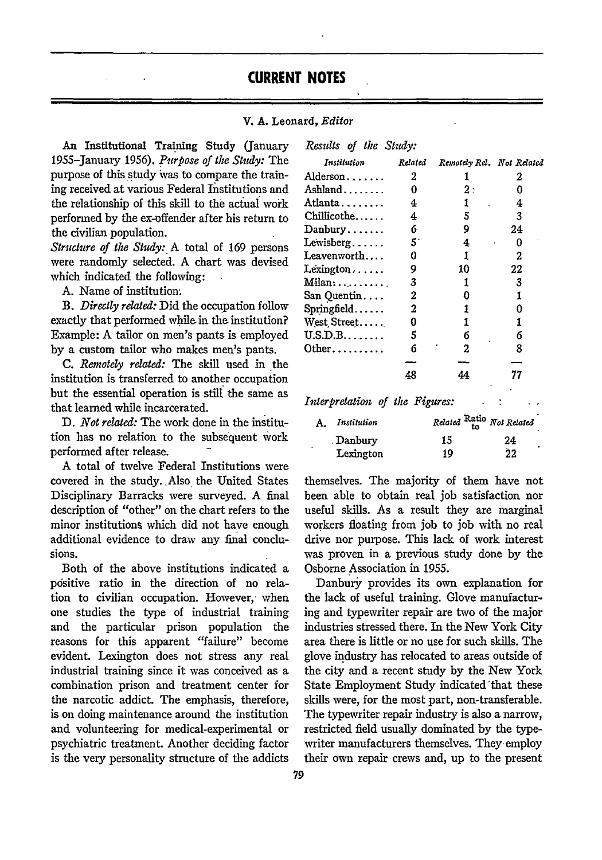### V. **A.** Leonard, *Editor*

*Results of the Study:*

An Institutional Training Study (January 1955-January 1956). *Purpose of the Study:* The purpose of this study was to compare the training received at various Federal Institutions and the relationship of this skill to the actual work performed by the ex-offender after his return to the civilian population.

*Structure of the Study:* A total of **169** persons were randomly selected. A chart was devised which indicated the following:

**A.** Name of institution.

*B. Directly related:* Did the occupation follow exactly that performed while in the institution? Example: A tailor on men's pants is employed by a custom tailor who makes men's pants.

*C. Remotely related:* The skill used in the institution is transferred to another occupation but the essential operation is still the same as that learned while incarcerated.

*D. Not related:* The work done in the institution has no relation to the subsequent work performed after release.

A total of twelve Federal Institutions were covered in the study. Also the United States Disciplinary Barracks were surveyed. A final description of "other" on the chart refers to the minor institutions which did not have enough additional evidence to draw any final conclusions.

Both of the above institutions indicated a pdsitive ratio in the direction of no relation to civilian occupation. However, when one studies the type of industrial training and the particular prison population the reasons for this apparent "failure" become evident. Lexington does not stress any real industrial training since it was conceived as a combination prison and treatment center for the narcotic addict. The emphasis, therefore, is on doing maintenance around the institution and volunteering for medical-experimental or psychiatric treatment. Another deciding factor is the very personality structure of the addicts

| Institution            | Related | Remotely Rel. Not Related |    |
|------------------------|---------|---------------------------|----|
| Alderson               | 2       |                           | 2  |
| Ashland                | 0       | $2 \cdot$                 | o  |
| Atlanta. <i>. .</i>    | 4       | 1                         | 4  |
| Chillicothe            | 4       | 5                         | 3  |
| $D$ anbury             | 6       | 9                         | 24 |
| Lewisberg              | 5.      | 4                         | 0  |
| Leavenvorth            | 0       | 1                         | 2  |
| $Lexington \ldots$ .   | 9       | 10                        | 22 |
| $Milan: \ldots \ldots$ | 3       | 1                         | 3  |
| San Quentin            | 2       | 0                         | 1  |
| Springfield            | 2       | 1                         | 0  |
| West Street            | 0       | 1                         | 1  |
| $\text{U.S.D.B.}$      | 5       | 6                         | б  |
| Other                  | б       | 2                         | 8  |
|                        |         |                           |    |
|                        | 48      |                           | 77 |

*Tnterpretation of the Figures: : ..*

| Institution<br>А. |    | Related Ratio Not Related |
|-------------------|----|---------------------------|
| . Danbury         | 15 | 24                        |
| Lexington         | 19 | 22                        |

themselves. The majority of them have not been able to obtain real job satisfaction nor useful skills. As a result they are marginal workers floating from job to **job** with no real drive nor purpose. This lack of work interest was proven in a previous study done by the Osborne Association in 1955.

Danbury provides its own explanation for the lack of useful training. Glove manufacturing and typewriter repair are two of the major industries stressed there. In the New York City area there is little or no use for such skills. The glove industry has relocated to areas outside of the city and a recent study by the New York State Employment Study indicated that these skills were, for the most part, non-transferable. The typewriter repair industry is also a narrow, restricted field usually dominated by the typewriter manufacturers themselves. They. employ their own repair crews and, up to the present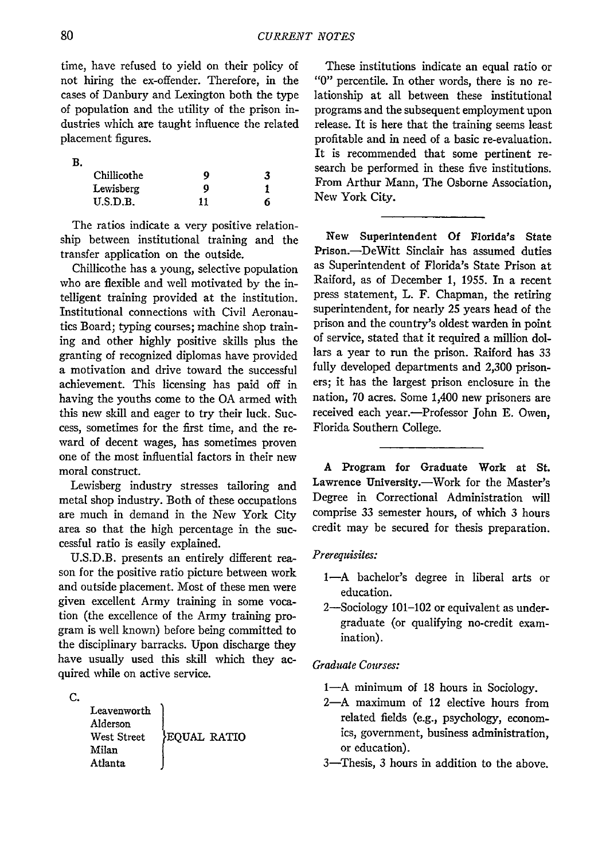time, have refused to yield on their policy of not hiring the ex-offender. Therefore, in the cases of Danbury and Lexington both the type of population and the utility of the prison industries which are taught influence the related placement figures.

B.

| Chillicothe | 9  | 3 |
|-------------|----|---|
| Lewisberg   | Q  |   |
| U.S.D.B.    | 11 | 6 |

The ratios indicate a very positive relationship between institutional training and the transfer application on the outside.

Chillicothe has a young, selective population who are flexible and well motivated by the intelligent training provided at the institution. Institutional connections with Civil Aeronautics Board; typing courses; machine shop training and other highly positive skills plus the granting of recognized diplomas have provided a motivation and drive toward the successful achievement. This licensing has paid off in having the youths come to the OA armed with this new skill and eager to try their luck. Success, sometimes for the first time, and the reward of decent wages, has sometimes proven one of the most influential factors in their new moral construct.

Lewisberg industry stresses tailoring and metal shop industry. Both of these occupations are much in demand in the New York City area so that the high percentage in the successful ratio is easily explained.

U.S.D.B. presents an entirely different reason for the positive ratio picture between work and outside placement. Most of these men were given excellent Army training in some vocation (the excellence of the Army training program is well known) before being committed to the disciplinary barracks. Upon discharge they have usually used this skill which they acquired while on active service.

C.

| Leavenworth |                    |
|-------------|--------------------|
| Alderson    |                    |
| West Street | <b>EQUAL RATIO</b> |
| Milan       |                    |
| Atlanta     |                    |

These institutions indicate an equal ratio or "0" percentile. In other words, there is no relationship at all between these institutional programs and the subsequent employment upon release. It is here that the training seems least profitable and in need of a basic re-evaluation. It is recommended that some pertinent research be performed in these five institutions. From Arthur Mann, The Osborne Association, New York City.

New Superintendent **Of** Florida's State Prison.-DeWitt Sinclair has assumed duties as Superintendent of Florida's State Prison at Raiford, as of December 1, 1955. In a recent press statement, L. F. Chapman, the retiring superintendent, for nearly 25 years head of the prison and the country's oldest warden in point of service, stated that it required a million dollars a year to run the prison. Raiford has 33 fully developed departments and 2,300 prisoners; it has the largest prison enclosure in the nation, 70 acres. Some 1,400 new prisoners are received each year.-Professor John E. Owen, Florida Southern College.

**A** Program for Graduate Work at St. Lawrence University.-Work for the Master's Degree in Correctional Administration will comprise 33 semester hours, of which 3 hours credit may be secured for thesis preparation.

## *Prerequisites:*

- 1-A bachelor's degree in liberal arts or education.
- 2-Sociology 101-102 or equivalent as undergraduate (or qualifying no-credit examination).

### *GradWte Courses:*

- 1-A minimum of 18 hours in Sociology.
- 2-A maximum of 12 elective hours from related fields (e.g., psychology, economics, government, business administration, or education).
- 3-Thesis, 3 hours in addition to the above.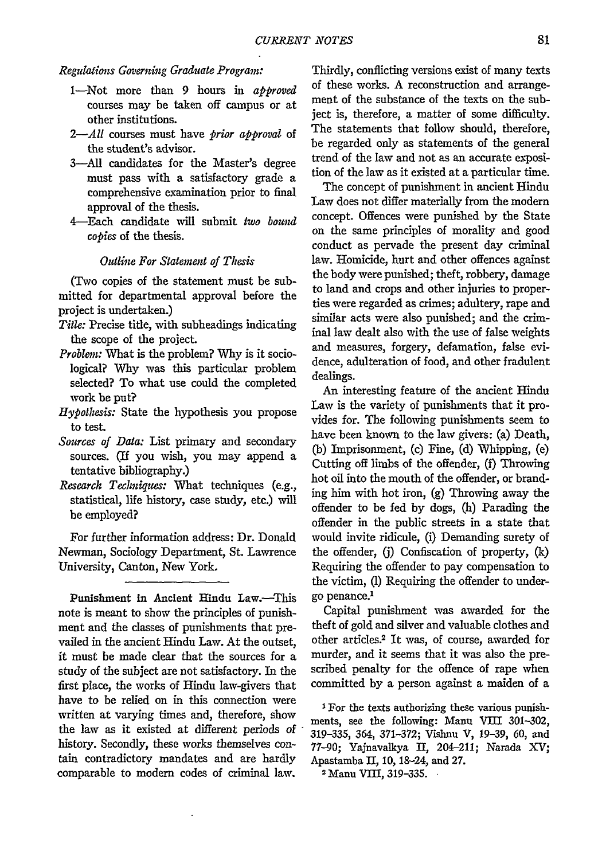#### *Regulations Governing Graduate Program:*

- 1-Not more than 9 hours in *approved* courses may be taken off campus or at other institutions.
- *2-All* courses must have *prior approval* of the student's advisor.
- 3-All candidates for the Master's degree must pass with a satisfactory grade a comprehensive examination prior to final approval of the thesis.
- 4-Each candidate will submit *two bound copies* of the thesis.

### *Outline For Statement of Thesis*

(Two copies of the statement must be submitted for departmental approval before the project is undertaken.)

- *Title:* Precise title, with subheadings indicating the scope of the project.
- *Problen:* What is the problem? Why is it sociological? Why was this particular problem selected? To what use could the completed work be put?
- *Hypothesis:* State the hypothesis you propose to test.
- *Sources of Data:* List primary and secondary sources. (If you wish, you may append a tentative bibliography.)
- *Research Tedniques:* What techniques (e.g., statistical, life history, case study, etc.) will be employed?

For further information address: Dr. Donald Newman, Sociology Department, St. Lawrence University, Canton, New York.

Punishment in Ancient Hindu Law.-This note is meant to show the principles of punishment and the classes of punishments that prevailed in the ancient Hindu Law. At the outset, it must be made clear that the sources for a study of the subject are not satisfactory. In the first place, the works of Hindu law-givers that have to be relied on in this connection were written at varying times and, therefore, show the law as it existed at different periods of history. Secondly, these works themselves contain contradictory mandates and are hardly comparable to modem codes of criminal law.

Thirdly, conflicting versions exist of many texts of these works. A reconstruction and arrangement of the substance of the texts on the subject is, therefore, a matter of some difficulty. The statements that follow should, therefore, be regarded only as statements of the general trend of the law and not as an accurate exposition of the law as it existed at a particular time.

The concept of punishment in ancient Hindu Law does not differ materially from the modern concept. Offences were punished by the State on the same principles of morality and good conduct as pervade the present day criminal law. Homicide, hurt and other offences against the body were punished; theft, robbery, damage to land and crops and other injuries to properties were regarded as crimes; adultery, rape and similar acts were also punished; and the criminal law dealt also with the use of false weights and measures, forgery, defamation, false evidence, adulteration of food, and other fradulent dealings.

An interesting feature of the ancient Hindu Law is the variety of punishments that it provides for. The following punishments seem to have been known to the law givers: (a) Death, (b) Imprisonment, (c) Fine, (d) Whipping, (e) Cutting off limbs of the offender, (f) Throwing hot oil into the mouth of the offender, or branding him with hot iron, **(g)** Throwing away the offender to be fed by dogs, (h) Parading the offender in the public streets in a state that would invite ridicule, (i) Demanding surety of the offender, (j) Confiscation of property, **(k)** Requiring the offender to pay compensation to the victim, (1) Requiring the offender to undergo penance.'

Capital punishment was awarded for the theft of gold and silver and valuable clothes and other articles.2 It was, of course, awarded for murder, and it seems that it was also the prescribed penalty for the offence of rape when committed by a person against a maiden of a

**I** For the texts authorizing these various punishments, see the following: Manu VIII 301-302, 319-335, 364, 371-372; Vishnu V, 19-39, 60, and 77-90; Yajnavalkya **11,** 204-211; Narada XV; Apastamba I, 10, 18-24, and 27. 2Manu VIII, 319-335.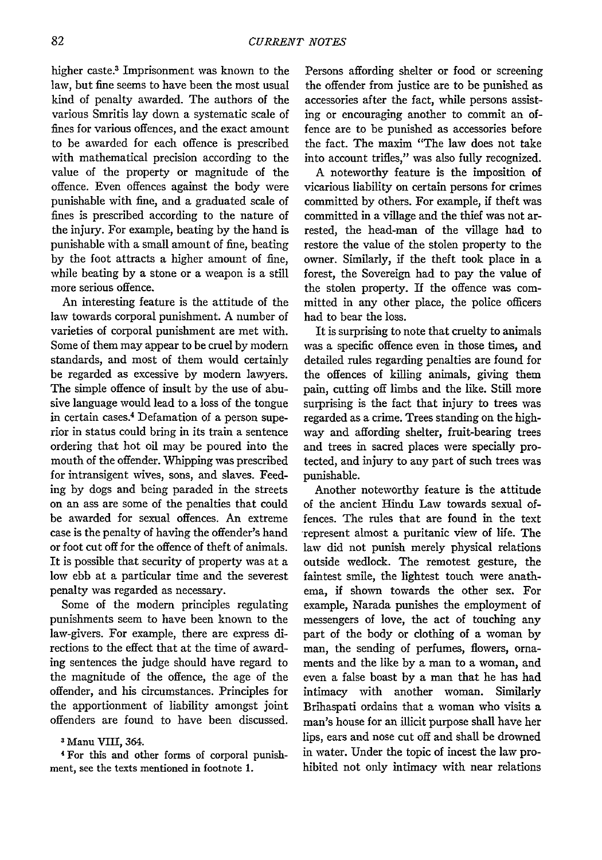higher caste.3 Imprisonment was known to the law, but fine seems to have been the most usual kind of penalty awarded. The authors of the various Smritis lay down a systematic scale of fines for various offences, and the exact amount to be awarded for each offence is prescribed with mathematical precision according to the value of the property or magnitude of the offence. Even offences against the body were punishable with fine, and a graduated scale of fines is prescribed according to the nature of the injury. For example, beating by the hand is punishable with a small amount of fine, beating by the foot attracts a higher amount of fine, while beating by a stone or a weapon is a still more serious offence.

An interesting feature is the attitude of the law towards corporal punishment. A number of varieties of corporal punishment are met with. Some of them may appear to be cruel by modern standards, and most of them would certainly be regarded as excessive by modern lawyers. The simple offence of insult by the use of abusive language would lead to a loss of the tongue in certain cases.4 Defamation of a person superior in status could bring in its train a sentence ordering that hot oil may be poured into the mouth of the offender. Whipping was prescribed for intransigent wives, sons, and slaves. Feeding by dogs and being paraded in the streets on an ass are some of the penalties that could be awarded for sexual offences. An extreme case is the penalty of having the offender's hand or foot cut off for the offence of theft of animals. It is possible that security of property was at a low ebb at a particular time and the severest penalty was regarded as necessary.

Some of the modern principles regulating punishments seem to have been known to the law-givers. For example, there are express directions to the effect that at the time of awarding sentences the judge should have regard to the magnitude of the offence, the age of the offender, and his circumstances. Principles for the apportionment of liability amongst joint offenders are found to have been discussed.

3Manu VIII, 364.

4 For this and other forms of corporal punishment, see the texts mentioned in footnote 1.

Persons affording shelter or food or screening the offender from justice are to be punished as accessories after the fact, while persons assisting or encouraging another to commit an offence are to be punished as accessories before the fact. The maxim "The law does not take into account trifles," was also fully recognized.

A noteworthy feature is the imposition of vicarious liability on certain persons for crimes committed by others. For example, if theft was committed in a village and the thief was not arrested, the head-man of the village had to restore the value of the stolen property to the owner. Similarly, if the theft took place in a forest, the Sovereign had to pay the value of the stolen property. If the offence was committed in any other place, the police officers had to bear the loss.

It is surprising to note that cruelty to animals was a specific offence even in those times, and detailed rules regarding penalties are found for the offences of killing animals, giving them pain, cutting off limbs and the like. Still more surprising is the fact that injury to trees was regarded as a crime. Trees standing on the highway and affording shelter, fruit-bearing trees and trees in sacred places were specially protected, and injury to any part of such trees was punishable.

Another noteworthy feature is the attitude of the ancient Hindu Law towards sexual offences. The rules that are found in the text 'represent almost a puritanic view of life. The law did not punish merely physical relations outside wedlock. The remotest gesture, the faintest smile, the lightest touch were anathema, if shown towards the other sex. For example, Narada punishes the employment of messengers of love, the act of touching any part of the body or clothing of a woman by man, the sending of perfumes, flowers, ornaments and the like by a man to a woman, and even a false boast by a man that he has had intimacy with another woman. Similarly Brihaspati ordains that a woman who visits a man's house for an illicit purpose shall have her lips, ears and nose cut off and shall be drowned in water. Under the topic of incest the law prohibited not only intimacy with near relations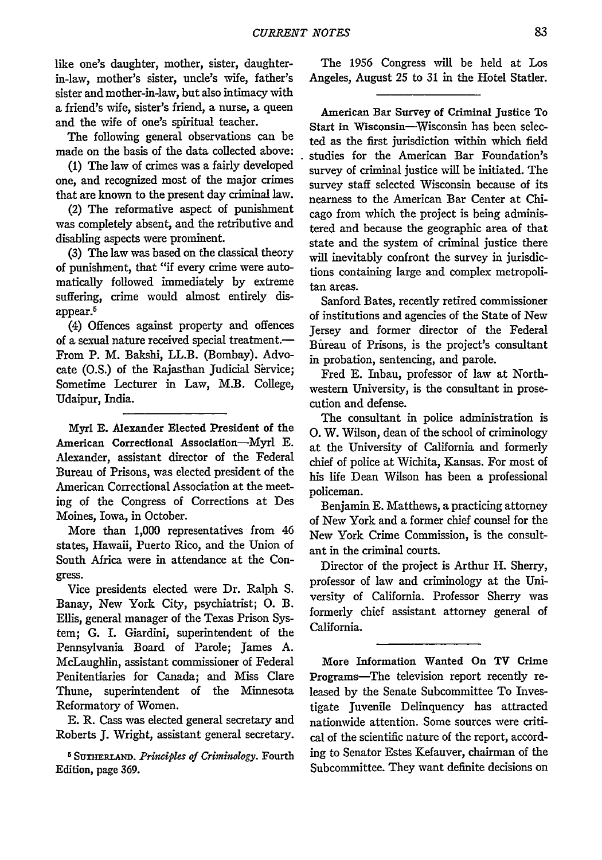like one's daughter, mother, sister, daughterin-law, mother's sister, uncle's wife, father's sister and mother-in-law, but also intimacy with a friend's wife, sister's friend, a nurse, a queen and the wife of one's spiritual teacher.

The following general observations can be made on the basis of the data collected above:

(1) The law of crimes was a fairly developed one, and recognized most of the major crimes that are known to the present day criminal law.

(2) The reformative aspect of punishment was completely absent, and the retributive and disabling aspects were prominent.

(3) The law was based on the classical theory of punishment, that **"if** every crime were automatically followed immediately by extreme suffering, crime would almost entirely disappear.<sup>5</sup>

(4) Offences against property and offences of a sexual nature received special treatment.-From P. M. Bakshi, LL.B. (Bombay). Advocate (O.S.) of the Rajasthan Judicial Service; Sometime Lecturer in Law, M.B. College, Udaipur, India.

Myrl **E.** Alexander Elected President of the American Correctional Assocaton-Myrl **E.** Alexander, assistant director of the Federal Bureau of Prisons, was elected president of the American Correctional Association at the meeting of the Congress of Corrections at Des Moines, Iowa, in October.

More than 1,000 representatives from 46 states, Hawaii, Puerto Rico, and the Union of South Africa were in attendance at the Congress.

Vice presidents elected were Dr. Ralph S. Banay, New York City, psychiatrist; **0.** B. Ellis, general manager of the Texas Prison System; G. I. Giardini, superintendent of the Pennsylvania Board of Parole; James A. McLaughlin, assistant commissioner of Federal Penitentiaries for Canada; and Miss Clare Thune, superintendent of the Minnesota Reformatory of Women.

**E.** R. Cass was elected general secretary and Roberts J. Wright, assistant general secretary.

<sup>5</sup> SUTHERLAND. Principles of Criminology. Fourth Edition, page 369.

The 1956 Congress will be held at Los Angeles, August **25** to **31** in the Hotel Statler.

American Bar Survey of Criminal Justice To Start in Wisconsin-Wisconsin has been selected as the first jurisdiction within which field studies for the American Bar Foundation's survey of criminal justice will be initiated. The survey staff selected Wisconsin because of its nearness to the American Bar Center at Chicago from which the project is being administered and because the geographic area of that state and the system of criminal justice there will inevitably confront the survey in jurisdictions containing large and complex metropolitan areas.

Sanford Bates, recently retired commissioner of institutions and agencies of the State of New Jersey and former director of the Federal Bureau of Prisons, is the project's consultant in probation, sentencing, and parole.

Fred **E.** Inbau, professor of law at Northwestern University, is the consultant in prosecution and defense.

The consultant in police administration is **0.** W. Wilson, dean of the school of criminology at the University of California and formerly chief of police at Wichita, Kansas. For most of his life Dean Wilson has been a professional policeman.

Benjamin E. Matthews, a practicing attorney of New York and a former chief counsel for the New York Crime Commission, is the consultant in the criminal courts.

Director of the project is Arthur H. Sherry, professor of law and criminology at the University of California. Professor Sherry was formerly chief assistant attorney general of California.

More Information Wanted On TV Crime Programs-The television report recently released by the Senate Subcommittee To Investigate Juvenile Delinquency has attracted nationwide attention. Some sources were critical of the scientific nature of the report, according to Senator Estes Kefauver, chairman of the Subcommittee. They want definite decisions on